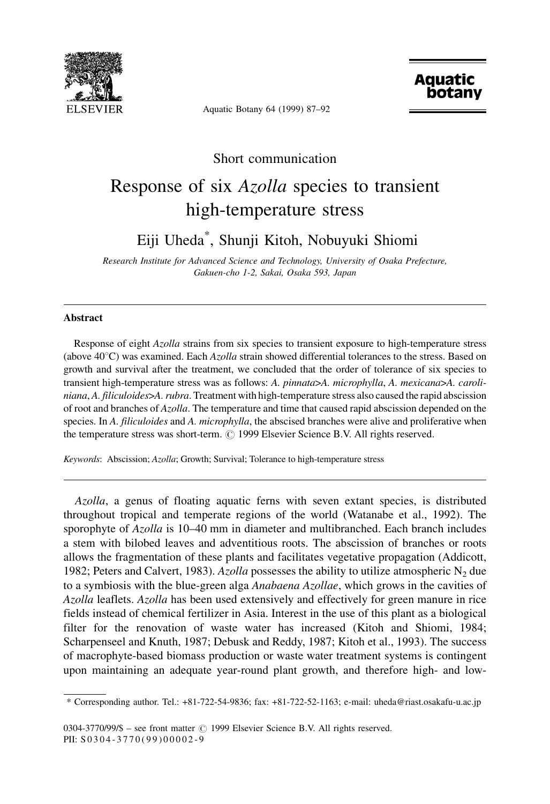

Aquatic Botany 64 (1999) 87-92



## Short communication Response of six Azolla species to transient high-temperature stress

Eiji Uheda\* , Shunji Kitoh, Nobuyuki Shiomi

Research Institute for Advanced Science and Technology, University of Osaka Prefecture, Gakuen-cho 1-2, Sakai, Osaka 593, Japan

## Abstract

Response of eight Azolla strains from six species to transient exposure to high-temperature stress (above  $40^{\circ}$ C) was examined. Each Azolla strain showed differential tolerances to the stress. Based on growth and survival after the treatment, we concluded that the order of tolerance of six species to transient high-temperature stress was as follows: A. pinnata>A. microphylla, A. mexicana>A. caroliniana, A. filiculoides>A. rubra. Treatment with high-temperature stress also caused the rapid abscission of root and branches of Azolla. The temperature and time that caused rapid abscission depended on the species. In A. filiculoides and A. microphylla, the abscised branches were alive and proliferative when the temperature stress was short-term.  $\odot$  1999 Elsevier Science B.V. All rights reserved.

Keywords: Abscission; Azolla; Growth; Survival; Tolerance to high-temperature stress

Azolla, a genus of floating aquatic ferns with seven extant species, is distributed throughout tropical and temperate regions of the world (Watanabe et al., 1992). The sporophyte of Azolla is 10–40 mm in diameter and multibranched. Each branch includes a stem with bilobed leaves and adventitious roots. The abscission of branches or roots allows the fragmentation of these plants and facilitates vegetative propagation (Addicott, 1982; Peters and Calvert, 1983). Azolla possesses the ability to utilize atmospheric  $N_2$  due to a symbiosis with the blue-green alga *Anabaena Azollae*, which grows in the cavities of Azolla leaflets. Azolla has been used extensively and effectively for green manure in rice fields instead of chemical fertilizer in Asia. Interest in the use of this plant as a biological filter for the renovation of waste water has increased (Kitoh and Shiomi, 1984; Scharpenseel and Knuth, 1987; Debusk and Reddy, 1987; Kitoh et al., 1993). The success of macrophyte-based biomass production or waste water treatment systems is contingent upon maintaining an adequate year-round plant growth, and therefore high- and low-

\* Corresponding author. Tel.: +81-722-54-9836; fax: +81-722-52-1163; e-mail: uheda@riast.osakafu-u.ac.jp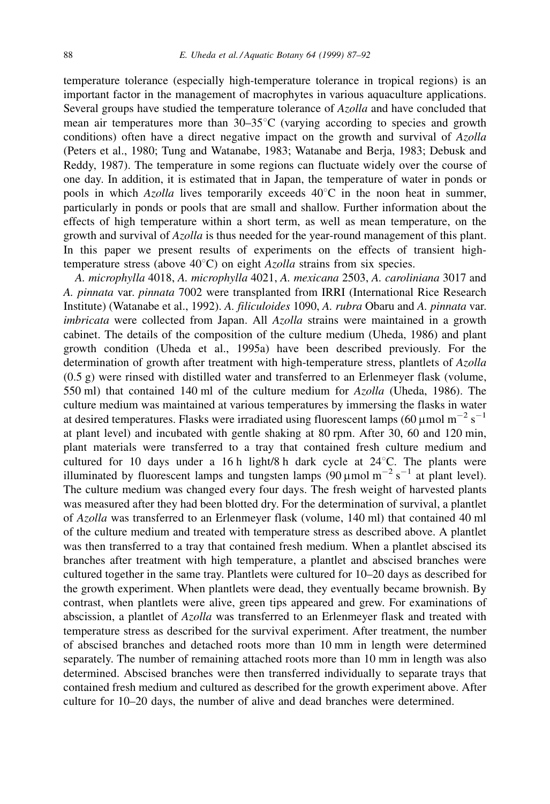temperature tolerance (especially high-temperature tolerance in tropical regions) is an important factor in the management of macrophytes in various aquaculture applications. Several groups have studied the temperature tolerance of Azolla and have concluded that mean air temperatures more than  $30-35^{\circ}$ C (varying according to species and growth conditions) often have a direct negative impact on the growth and survival of Azolla (Peters et al., 1980; Tung and Watanabe, 1983; Watanabe and Berja, 1983; Debusk and Reddy, 1987). The temperature in some regions can fluctuate widely over the course of one day. In addition, it is estimated that in Japan, the temperature of water in ponds or pools in which Azolla lives temporarily exceeds  $40^{\circ}$ C in the noon heat in summer, particularly in ponds or pools that are small and shallow. Further information about the effects of high temperature within a short term, as well as mean temperature, on the growth and survival of Azolla is thus needed for the year-round management of this plant. In this paper we present results of experiments on the effects of transient hightemperature stress (above  $40^{\circ}$ C) on eight *Azolla* strains from six species.

A. microphylla 4018, A. microphylla 4021, A. mexicana 2503, A. caroliniana 3017 and A. pinnata var. pinnata 7002 were transplanted from IRRI (International Rice Research Institute) (Watanabe et al., 1992). A. filiculoides 1090, A. rubra Obaru and A. pinnata var. imbricata were collected from Japan. All Azolla strains were maintained in a growth cabinet. The details of the composition of the culture medium (Uheda, 1986) and plant growth condition (Uheda et al., 1995a) have been described previously. For the determination of growth after treatment with high-temperature stress, plantlets of Azolla (0.5 g) were rinsed with distilled water and transferred to an Erlenmeyer flask (volume, 550 ml) that contained 140 ml of the culture medium for Azolla (Uheda, 1986). The culture medium was maintained at various temperatures by immersing the flasks in water at desired temperatures. Flasks were irradiated using fluorescent lamps (60 µmol m<sup>-2</sup> s<sup>-1</sup> at plant level) and incubated with gentle shaking at 80 rpm. After 30, 60 and 120 min, plant materials were transferred to a tray that contained fresh culture medium and cultured for 10 days under a 16 h light/8 h dark cycle at  $24^{\circ}$ C. The plants were illuminated by fluorescent lamps and tungsten lamps (90  $\mu$ mol m<sup>-2</sup> s<sup>-1</sup> at plant level). The culture medium was changed every four days. The fresh weight of harvested plants was measured after they had been blotted dry. For the determination of survival, a plantlet of Azolla was transferred to an Erlenmeyer flask (volume, 140 ml) that contained 40 ml of the culture medium and treated with temperature stress as described above. A plantlet was then transferred to a tray that contained fresh medium. When a plantlet abscised its branches after treatment with high temperature, a plantlet and abscised branches were cultured together in the same tray. Plantlets were cultured for 10-20 days as described for the growth experiment. When plantlets were dead, they eventually became brownish. By contrast, when plantlets were alive, green tips appeared and grew. For examinations of abscission, a plantlet of Azolla was transferred to an Erlenmeyer flask and treated with temperature stress as described for the survival experiment. After treatment, the number of abscised branches and detached roots more than 10 mm in length were determined separately. The number of remaining attached roots more than 10 mm in length was also determined. Abscised branches were then transferred individually to separate trays that contained fresh medium and cultured as described for the growth experiment above. After culture for 10–20 days, the number of alive and dead branches were determined.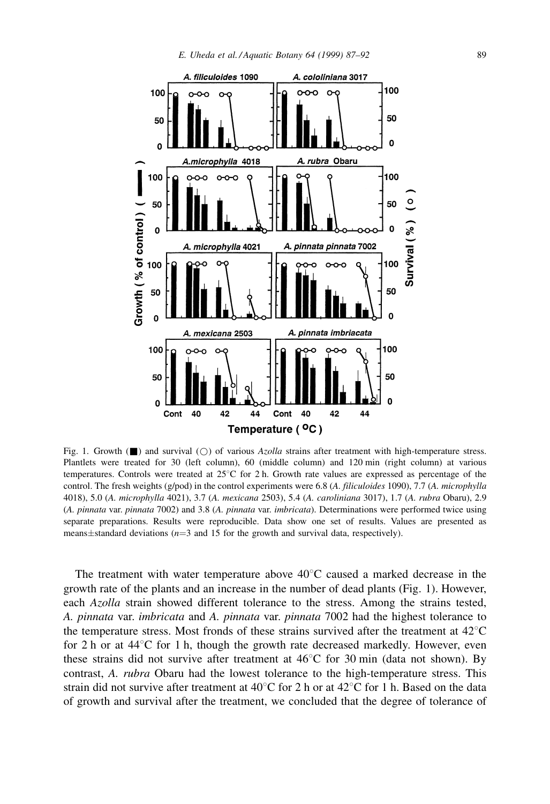

Fig. 1. Growth ( $\Box$ ) and survival ( $\bigcirc$ ) of various Azolla strains after treatment with high-temperature stress. Plantlets were treated for 30 (left column), 60 (middle column) and 120 min (right column) at various temperatures. Controls were treated at  $25^{\circ}$ C for 2 h. Growth rate values are expressed as percentage of the control. The fresh weights (g/pod) in the control experiments were 6.8 (A. filiculoides 1090), 7.7 (A. microphylla 4018), 5.0 (A. microphylla 4021), 3.7 (A. mexicana 2503), 5.4 (A. caroliniana 3017), 1.7 (A. rubra Obaru), 2.9 (A. pinnata var. pinnata 7002) and 3.8 (A. pinnata var. imbricata). Determinations were performed twice using separate preparations. Results were reproducible. Data show one set of results. Values are presented as means $\pm$ standard deviations ( $n=3$  and 15 for the growth and survival data, respectively).

The treatment with water temperature above  $40^{\circ}$ C caused a marked decrease in the growth rate of the plants and an increase in the number of dead plants (Fig. 1). However, each Azolla strain showed different tolerance to the stress. Among the strains tested, A. pinnata var. imbricata and A. pinnata var. pinnata 7002 had the highest tolerance to the temperature stress. Most fronds of these strains survived after the treatment at  $42^{\circ}$ C for 2 h or at  $44^{\circ}$ C for 1 h, though the growth rate decreased markedly. However, even these strains did not survive after treatment at  $46^{\circ}$ C for 30 min (data not shown). By contrast, A. rubra Obaru had the lowest tolerance to the high-temperature stress. This strain did not survive after treatment at 40 $\degree$ C for 2 h or at 42 $\degree$ C for 1 h. Based on the data of growth and survival after the treatment, we concluded that the degree of tolerance of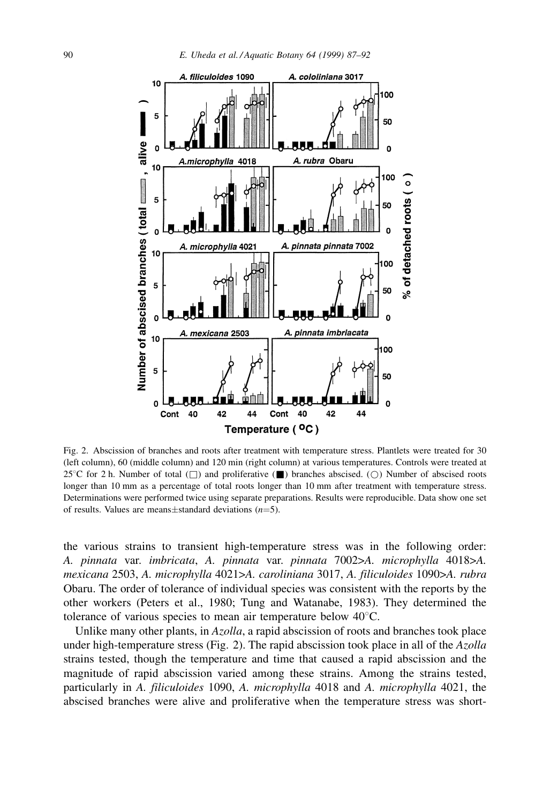

Fig. 2. Abscission of branches and roots after treatment with temperature stress. Plantlets were treated for 30 (left column), 60 (middle column) and 120 min (right column) at various temperatures. Controls were treated at 25°C for 2 h. Number of total  $(\Box)$  and proliferative ( $\Box$ ) branches abscised. ( $\bigcirc$ ) Number of abscised roots longer than 10 mm as a percentage of total roots longer than 10 mm after treatment with temperature stress. Determinations were performed twice using separate preparations. Results were reproducible. Data show one set of results. Values are means $\pm$ standard deviations (n=5).

the various strains to transient high-temperature stress was in the following order: A. pinnata var. imbricata, A. pinnata var. pinnata 7002>A. microphylla 4018>A. mexicana 2503, A. microphylla 4021>A. caroliniana 3017, A. filiculoides 1090>A. rubra Obaru. The order of tolerance of individual species was consistent with the reports by the other workers (Peters et al., 1980; Tung and Watanabe, 1983). They determined the tolerance of various species to mean air temperature below  $40^{\circ}$ C.

Unlike many other plants, in Azolla, a rapid abscission of roots and branches took place under high-temperature stress (Fig. 2). The rapid abscission took place in all of the  $Azolla$ strains tested, though the temperature and time that caused a rapid abscission and the magnitude of rapid abscission varied among these strains. Among the strains tested, particularly in A. filiculoides 1090, A. microphylla 4018 and A. microphylla 4021, the abscised branches were alive and proliferative when the temperature stress was short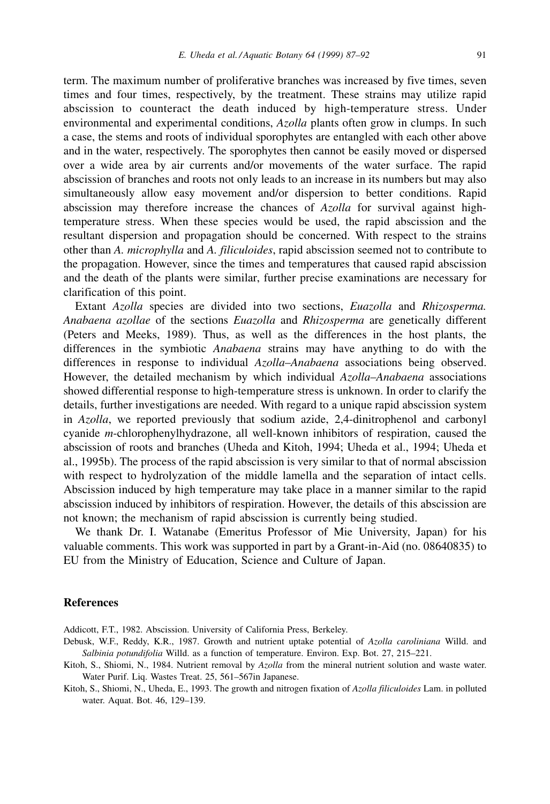term. The maximum number of proliferative branches was increased by five times, seven times and four times, respectively, by the treatment. These strains may utilize rapid abscission to counteract the death induced by high-temperature stress. Under environmental and experimental conditions, Azolla plants often grow in clumps. In such a case, the stems and roots of individual sporophytes are entangled with each other above and in the water, respectively. The sporophytes then cannot be easily moved or dispersed over a wide area by air currents and/or movements of the water surface. The rapid abscission of branches and roots not only leads to an increase in its numbers but may also simultaneously allow easy movement and/or dispersion to better conditions. Rapid abscission may therefore increase the chances of Azolla for survival against hightemperature stress. When these species would be used, the rapid abscission and the resultant dispersion and propagation should be concerned. With respect to the strains other than A. microphylla and A. filiculoides, rapid abscission seemed not to contribute to the propagation. However, since the times and temperatures that caused rapid abscission and the death of the plants were similar, further precise examinations are necessary for clarification of this point.

Extant Azolla species are divided into two sections, Euazolla and Rhizosperma. Anabaena azollae of the sections Euazolla and Rhizosperma are genetically different (Peters and Meeks, 1989). Thus, as well as the differences in the host plants, the differences in the symbiotic Anabaena strains may have anything to do with the differences in response to individual Azolla-Anabaena associations being observed. However, the detailed mechanism by which individual  $Azolla$ — $Anabaena$  associations showed differential response to high-temperature stress is unknown. In order to clarify the details, further investigations are needed. With regard to a unique rapid abscission system in Azolla, we reported previously that sodium azide, 2,4-dinitrophenol and carbonyl cyanide m-chlorophenylhydrazone, all well-known inhibitors of respiration, caused the abscission of roots and branches (Uheda and Kitoh, 1994; Uheda et al., 1994; Uheda et al., 1995b). The process of the rapid abscission is very similar to that of normal abscission with respect to hydrolyzation of the middle lamella and the separation of intact cells. Abscission induced by high temperature may take place in a manner similar to the rapid abscission induced by inhibitors of respiration. However, the details of this abscission are not known; the mechanism of rapid abscission is currently being studied.

We thank Dr. I. Watanabe (Emeritus Professor of Mie University, Japan) for his valuable comments. This work was supported in part by a Grant-in-Aid (no. 08640835) to EU from the Ministry of Education, Science and Culture of Japan.

## References

Addicott, F.T., 1982. Abscission. University of California Press, Berkeley.

- Debusk, W.F., Reddy, K.R., 1987. Growth and nutrient uptake potential of Azolla caroliniana Willd. and Salbinia potundifolia Willd. as a function of temperature. Environ. Exp. Bot. 27, 215-221.
- Kitoh, S., Shiomi, N., 1984. Nutrient removal by Azolla from the mineral nutrient solution and waste water. Water Purif. Liq. Wastes Treat. 25, 561-567in Japanese.
- Kitoh, S., Shiomi, N., Uheda, E., 1993. The growth and nitrogen fixation of Azolla filiculoides Lam. in polluted water. Aquat. Bot. 46, 129-139.